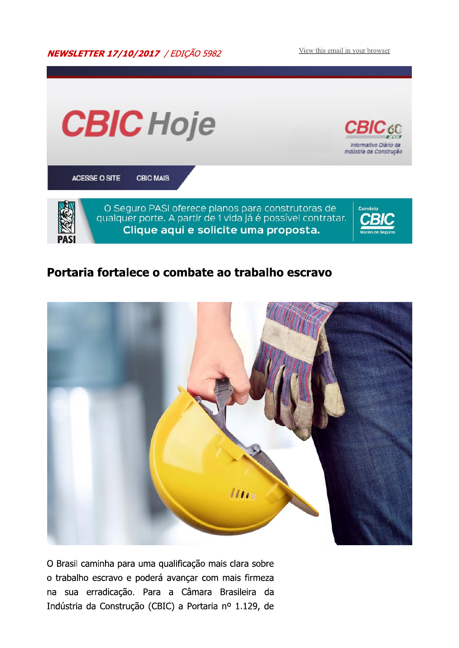**NEWSLETTER 17/10/2017** / EDIÇÃO 5982

View this email in your browser



#### Portaria fortalece o combate ao trabalho escravo



O Brasil caminha para uma qualificação mais clara sobre o trabalho escravo e poderá avançar com mais firmeza na sua erradicação. Para a Câmara Brasileira da Indústria da Construção (CBIC) a Portaria nº 1.129, de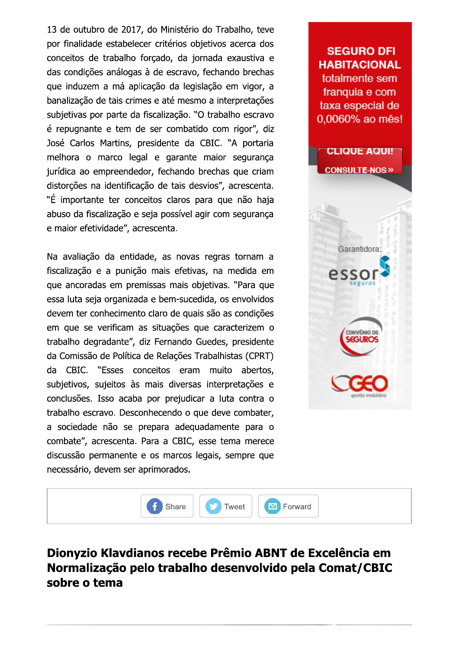13 de outubro de 2017, do Ministério do Trabalho, teve por finalidade estabelecer critérios objetivos acerca dos conceitos de trabalho forçado, da jornada exaustiva e das condições análogas à de escravo, fechando brechas que induzem a má aplicação da legislação em vigor, a banalização de tais crimes e até mesmo a interpretações subjetivas por parte da fiscalização. "O trabalho escravo é repugnante e tem de ser combatido com rigor", diz José Carlos Martins, presidente da CBIC. "A portaria melhora o marco legal e garante maior segurança jurídica ao empreendedor, fechando brechas que criam distorções na identificação de tais desvios", acrescenta. "É importante ter conceitos claros para que não haja abuso da fiscalização e seja possível agir com segurança e maior efetividade", acrescenta.

Na avaliação da entidade, as novas regras tornam a fiscalização e a punição mais efetivas, na medida em que ancoradas em premissas mais objetivas. "Para que essa luta seja organizada e bem-sucedida, os envolvidos devem ter conhecimento claro de quais são as condições em que se verificam as situações que caracterizem o trabalho degradante", diz Fernando Guedes, presidente da Comissão de Política de Relações Trabalhistas (CPRT) CBIC. "Esses conceitos eram muito abertos, da subjetivos, sujeitos às mais diversas interpretações e conclusões. Isso acaba por prejudicar a luta contra o trabalho escravo. Desconhecendo o que deve combater, a sociedade não se prepara adequadamente para o combate", acrescenta. Para a CBIC, esse tema merece discussão permanente e os marcos legais, sempre que necessário, devem ser aprimorados.





# Dionyzio Klavdianos recebe Prêmio ABNT de Excelência em Normalização pelo trabalho desenvolvido pela Comat/CBIC sobre o tema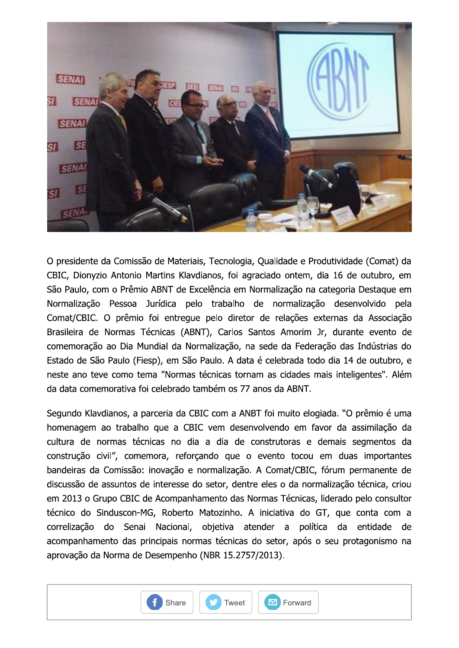

O presidente da Comissão de Materiais, Tecnologia, Qualidade e Produtividade (Comat) da CBIC, Dionyzio Antonio Martins Klavdianos, foi agraciado ontem, dia 16 de outubro, em São Paulo, com o Prêmio ABNT de Excelência em Normalização na categoria Destaque em Normalização Pessoa Jurídica pelo trabalho de normalização desenvolvido pela Comat/CBIC. O prêmio foi entregue pelo diretor de relações externas da Associação Brasileira de Normas Técnicas (ABNT), Carlos Santos Amorim Jr, durante evento de comemoração ao Dia Mundial da Normalização, na sede da Federação das Indústrias do Estado de São Paulo (Fiesp), em São Paulo. A data é celebrada todo dia 14 de outubro, e neste ano teve como tema "Normas técnicas tornam as cidades mais inteligentes". Além da data comemorativa foi celebrado também os 77 anos da ABNT.

Segundo Klavdianos, a parceria da CBIC com a ANBT foi muito elogiada. "O prêmio é uma homenagem ao trabalho que a CBIC vem desenvolvendo em favor da assimilação da cultura de normas técnicas no dia a dia de construtoras e demais segmentos da construção civil", comemora, reforçando que o evento tocou em duas importantes bandeiras da Comissão: inovação e normalização. A Comat/CBIC, fórum permanente de discussão de assuntos de interesse do setor, dentre eles o da normalização técnica, criou em 2013 o Grupo CBIC de Acompanhamento das Normas Técnicas, liderado pelo consultor técnico do Sinduscon-MG, Roberto Matozinho. A iniciativa do GT, que conta com a correlização do Senai Nacional, objetiva atender a política da entidade de acompanhamento das principais normas técnicas do setor, após o seu protagonismo na aprovação da Norma de Desempenho (NBR 15.2757/2013).

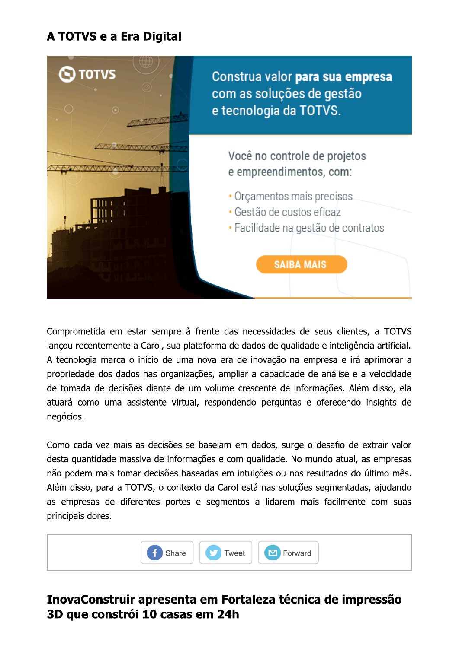# A TOTVS e a Era Digital



Comprometida em estar sempre à frente das necessidades de seus clientes, a TOTVS lançou recentemente a Carol, sua plataforma de dados de qualidade e inteligência artificial. A tecnologia marca o início de uma nova era de inovação na empresa e irá aprimorar a propriedade dos dados nas organizações, ampliar a capacidade de análise e a velocidade de tomada de decisões diante de um volume crescente de informações. Além disso, ela atuará como uma assistente virtual, respondendo perguntas e oferecendo insights de negócios.

Como cada vez mais as decisões se baseiam em dados, surge o desafio de extrair valor desta quantidade massiva de informações e com qualidade. No mundo atual, as empresas não podem mais tomar decisões baseadas em intuições ou nos resultados do último mês. Além disso, para a TOTVS, o contexto da Carol está nas soluções segmentadas, ajudando as empresas de diferentes portes e segmentos a lidarem mais facilmente com suas principais dores.



#### InovaConstruir apresenta em Fortaleza técnica de impressão 3D que constrói 10 casas em 24h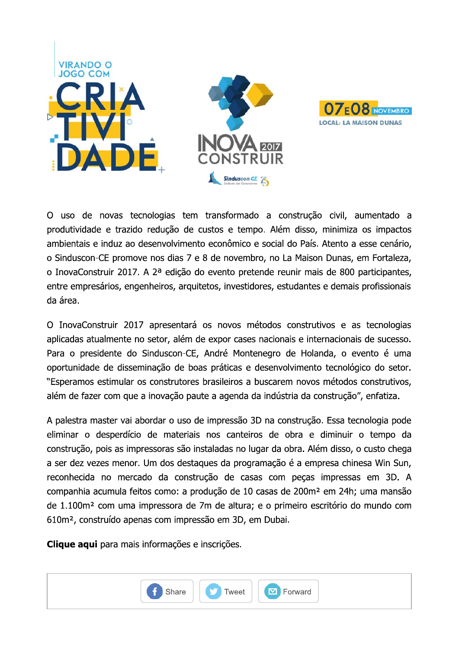



O uso de novas tecnologias tem transformado a construção civil, aumentado a produtividade e trazido redução de custos e tempo. Além disso, minimiza os impactos ambientais e induz ao desenvolvimento econômico e social do País. Atento a esse cenário, o Sinduscon-CE promove nos dias 7 e 8 de novembro, no La Maison Dunas, em Fortaleza, o InovaConstruir 2017. A 2<sup>a</sup> edição do evento pretende reunir mais de 800 participantes, entre empresários, engenheiros, arguitetos, investidores, estudantes e demais profissionais da área.

O InovaConstruir 2017 apresentará os novos métodos construtivos e as tecnologias aplicadas atualmente no setor, além de expor cases nacionais e internacionais de sucesso. Para o presidente do Sinduscon-CE, André Montenegro de Holanda, o evento é uma oportunidade de disseminação de boas práticas e desenvolvimento tecnológico do setor. "Esperamos estimular os construtores brasileiros a buscarem novos métodos construtivos, além de fazer com que a inovação paute a agenda da indústria da construção", enfatiza.

A palestra master vai abordar o uso de impressão 3D na construção. Essa tecnologia pode eliminar o desperdício de materiais nos canteiros de obra e diminuir o tempo da construção, pois as impressoras são instaladas no lugar da obra. Além disso, o custo chega a ser dez vezes menor. Um dos destaques da programação é a empresa chinesa Win Sun, reconhecida no mercado da construção de casas com peças impressas em 3D. A companhia acumula feitos como: a produção de 10 casas de 200m<sup>2</sup> em 24h; uma mansão de 1.100m<sup>2</sup> com uma impressora de 7m de altura; e o primeiro escritório do mundo com 610m<sup>2</sup>, construído apenas com impressão em 3D, em Dubai.

Clique aqui para mais informações e inscrições.

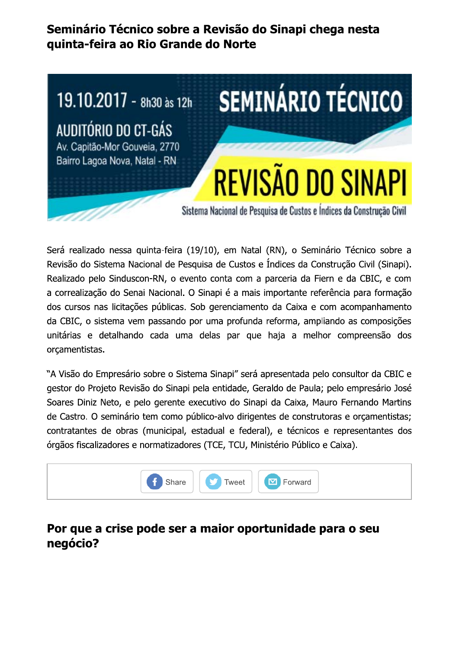### Seminário Técnico sobre a Revisão do Sinapi chega nesta quinta-feira ao Rio Grande do Norte

# **SEMINÁRIO TÉCNICO** 19.10.2017 - 8h30 às 12h AUDITÓRIO DO CT-GÁS Av. Capitão-Mor Gouveia, 2770 Bairro Lagoa Nova, Natal - RN **REVISÃO DO SINAPI** Sistema Nacional de Pesquisa de Custos e Índices da Construção Civil

Será realizado nessa quinta-feira (19/10), em Natal (RN), o Seminário Técnico sobre a Revisão do Sistema Nacional de Pesquisa de Custos e Índices da Construção Civil (Sinapi). Realizado pelo Sinduscon-RN, o evento conta com a parceria da Fiern e da CBIC, e com a correalização do Senai Nacional. O Sinapi é a mais importante referência para formação dos cursos nas licitações públicas. Sob gerenciamento da Caixa e com acompanhamento da CBIC, o sistema vem passando por uma profunda reforma, ampliando as composições unitárias e detalhando cada uma delas par que haja a melhor compreensão dos orcamentistas.

"A Visão do Empresário sobre o Sistema Sinapi" será apresentada pelo consultor da CBIC e gestor do Projeto Revisão do Sinapi pela entidade, Geraldo de Paula; pelo empresário José Soares Diniz Neto, e pelo gerente executivo do Sinapi da Caixa, Mauro Fernando Martins de Castro. O seminário tem como público-alvo dirigentes de construtoras e orçamentistas; contratantes de obras (municipal, estadual e federal), e técnicos e representantes dos órgãos fiscalizadores e normatizadores (TCE, TCU, Ministério Público e Caixa).



### Por que a crise pode ser a maior oportunidade para o seu negócio?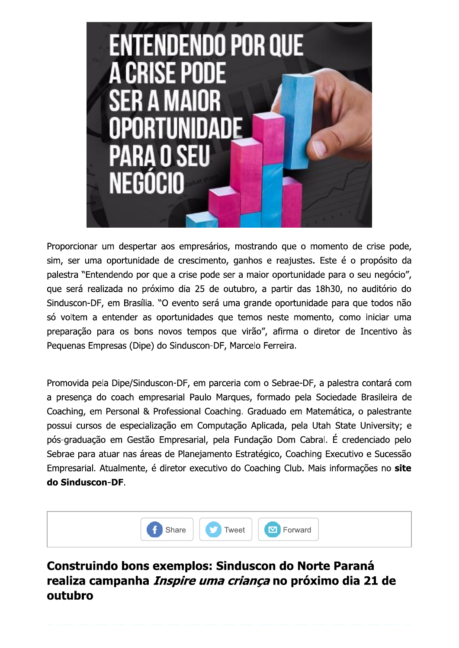

Proporcionar um despertar aos empresários, mostrando que o momento de crise pode, sim, ser uma oportunidade de crescimento, ganhos e reajustes. Este é o propósito da palestra "Entendendo por que a crise pode ser a maior oportunidade para o seu negócio", que será realizada no próximo dia 25 de outubro, a partir das 18h30, no auditório do Sinduscon-DF, em Brasília. "O evento será uma grande oportunidade para que todos não só voltem a entender as oportunidades que temos neste momento, como iniciar uma preparação para os bons novos tempos que virão", afirma o diretor de Incentivo às Pequenas Empresas (Dipe) do Sinduscon-DF, Marcelo Ferreira.

Promovida pela Dipe/Sinduscon-DF, em parceria com o Sebrae-DF, a palestra contará com a presença do coach empresarial Paulo Marques, formado pela Sociedade Brasileira de Coaching, em Personal & Professional Coaching. Graduado em Matemática, o palestrante possui cursos de especialização em Computação Aplicada, pela Utah State University; e pós-graduação em Gestão Empresarial, pela Fundação Dom Cabral. É credenciado pelo Sebrae para atuar nas áreas de Planejamento Estratégico, Coaching Executivo e Sucessão Empresarial. Atualmente, é diretor executivo do Coaching Club. Mais informações no site do Sinduscon-DF.



### Construindo bons exemplos: Sinduscon do Norte Paraná realiza campanha *Inspire uma criança* no próximo dia 21 de outubro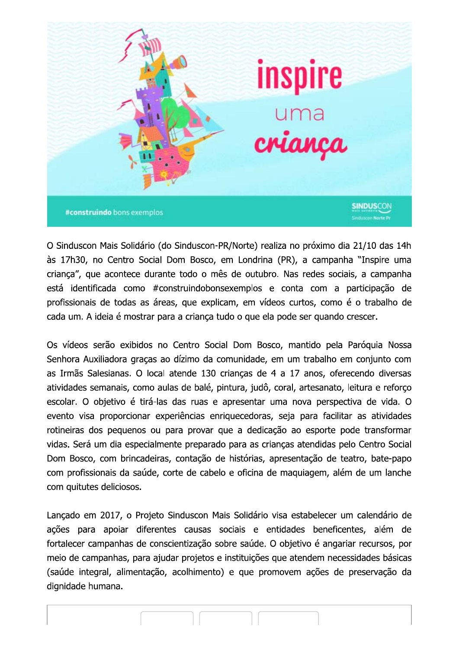

O Sinduscon Mais Solidário (do Sinduscon-PR/Norte) realiza no próximo dia 21/10 das 14h às 17h30, no Centro Social Dom Bosco, em Londrina (PR), a campanha "Inspire uma crianca", que acontece durante todo o mês de outubro. Nas redes sociais, a campanha está identificada como #construindobonsexemplos e conta com a participação de profissionais de todas as áreas, que explicam, em vídeos curtos, como é o trabalho de cada um. A ideia é mostrar para a criança tudo o que ela pode ser quando crescer.

Os vídeos serão exibidos no Centro Social Dom Bosco, mantido pela Paróquia Nossa Senhora Auxiliadora graças ao dízimo da comunidade, em um trabalho em conjunto com as Irmãs Salesianas. O local atende 130 crianças de 4 a 17 anos, oferecendo diversas atividades semanais, como aulas de balé, pintura, judô, coral, artesanato, leitura e reforço escolar. O objetivo é tirá-las das ruas e apresentar uma nova perspectiva de vida. O evento visa proporcionar experiências enriquecedoras, seja para facilitar as atividades rotineiras dos pequenos ou para provar que a dedicação ao esporte pode transformar vidas. Será um dia especialmente preparado para as crianças atendidas pelo Centro Social Dom Bosco, com brincadeiras, contação de histórias, apresentação de teatro, bate-papo com profissionais da saúde, corte de cabelo e oficina de maquiagem, além de um lanche com quitutes deliciosos.

Lançado em 2017, o Projeto Sinduscon Mais Solidário visa estabelecer um calendário de ações para apoiar diferentes causas sociais e entidades beneficentes, além de fortalecer campanhas de conscientização sobre saúde. O objetivo é angariar recursos, por meio de campanhas, para ajudar projetos e instituições que atendem necessidades básicas (saúde integral, alimentação, acolhimento) e que promovem ações de preservação da dignidade humana.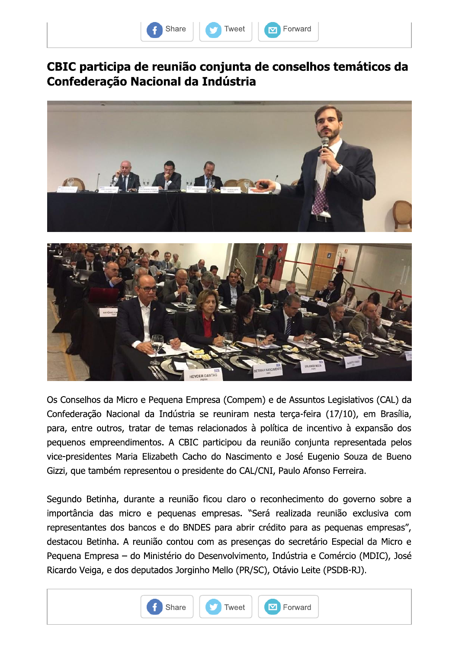



#### CBIC participa de reunião conjunta de conselhos temáticos da **Confederação Nacional da Indústria**





Os Conselhos da Micro e Pequena Empresa (Compem) e de Assuntos Legislativos (CAL) da Confederação Nacional da Indústria se reuniram nesta terça-feira (17/10), em Brasília, para, entre outros, tratar de temas relacionados à política de incentivo à expansão dos pequenos empreendimentos. A CBIC participou da reunião conjunta representada pelos vice-presidentes Maria Elizabeth Cacho do Nascimento e José Eugenio Souza de Bueno Gizzi, que também representou o presidente do CAL/CNI, Paulo Afonso Ferreira.

Segundo Betinha, durante a reunião ficou claro o reconhecimento do governo sobre a importância das micro e pequenas empresas. "Será realizada reunião exclusiva com representantes dos bancos e do BNDES para abrir crédito para as pequenas empresas", destacou Betinha. A reunião contou com as presenças do secretário Especial da Micro e Pequena Empresa - do Ministério do Desenvolvimento, Indústria e Comércio (MDIC), José Ricardo Veiga, e dos deputados Jorginho Mello (PR/SC), Otávio Leite (PSDB-RJ).